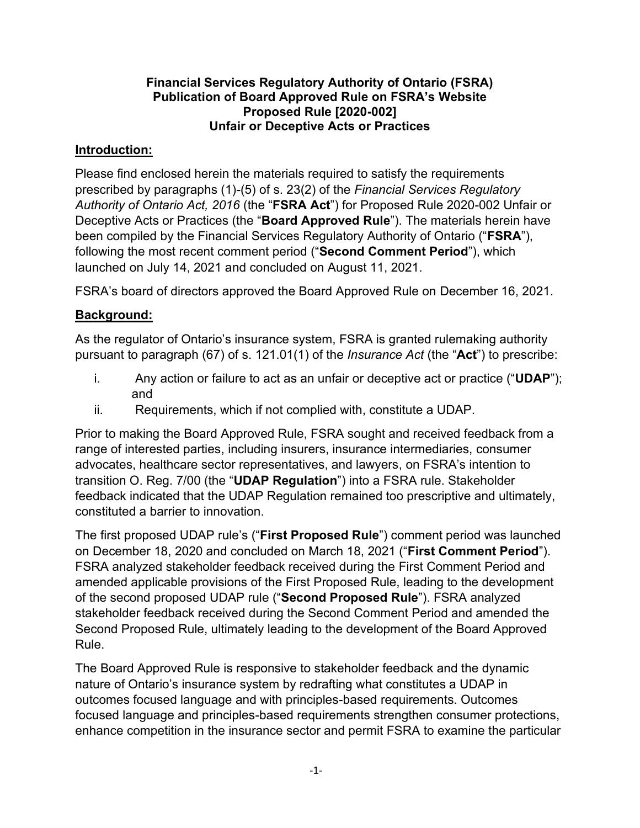#### **Financial Services Regulatory Authority of Ontario (FSRA) Publication of Board Approved Rule on FSRA's Website Proposed Rule [2020-002] Unfair or Deceptive Acts or Practices**

### **Introduction:**

Please find enclosed herein the materials required to satisfy the requirements prescribed by paragraphs (1)-(5) of s. 23(2) of the *Financial Services Regulatory Authority of Ontario Act, 2016* (the "**FSRA Act**") for Proposed Rule 2020-002 Unfair or Deceptive Acts or Practices (the "**Board Approved Rule**"). The materials herein have been compiled by the Financial Services Regulatory Authority of Ontario ("**FSRA**"), following the most recent comment period ("**Second Comment Period**"), which launched on July 14, 2021 and concluded on August 11, 2021.

FSRA's board of directors approved the Board Approved Rule on December 16, 2021.

### **Background:**

As the regulator of Ontario's insurance system, FSRA is granted rulemaking authority pursuant to paragraph (67) of s. 121.01(1) of the *Insurance Act* (the "**Act**") to prescribe:

- i. Any action or failure to act as an unfair or deceptive act or practice ("**UDAP**"); and
- ii. Requirements, which if not complied with, constitute a UDAP.

Prior to making the Board Approved Rule, FSRA sought and received feedback from a range of interested parties, including insurers, insurance intermediaries, consumer advocates, healthcare sector representatives, and lawyers, on FSRA's intention to transition O. Reg. 7/00 (the "**UDAP Regulation**") into a FSRA rule. Stakeholder feedback indicated that the UDAP Regulation remained too prescriptive and ultimately, constituted a barrier to innovation.

The first proposed UDAP rule's ("**First Proposed Rule**") comment period was launched on December 18, 2020 and concluded on March 18, 2021 ("**First Comment Period**"). FSRA analyzed stakeholder feedback received during the First Comment Period and amended applicable provisions of the First Proposed Rule, leading to the development of the second proposed UDAP rule ("**Second Proposed Rule**"). FSRA analyzed stakeholder feedback received during the Second Comment Period and amended the Second Proposed Rule, ultimately leading to the development of the Board Approved Rule.

The Board Approved Rule is responsive to stakeholder feedback and the dynamic nature of Ontario's insurance system by redrafting what constitutes a UDAP in outcomes focused language and with principles-based requirements. Outcomes focused language and principles-based requirements strengthen consumer protections, enhance competition in the insurance sector and permit FSRA to examine the particular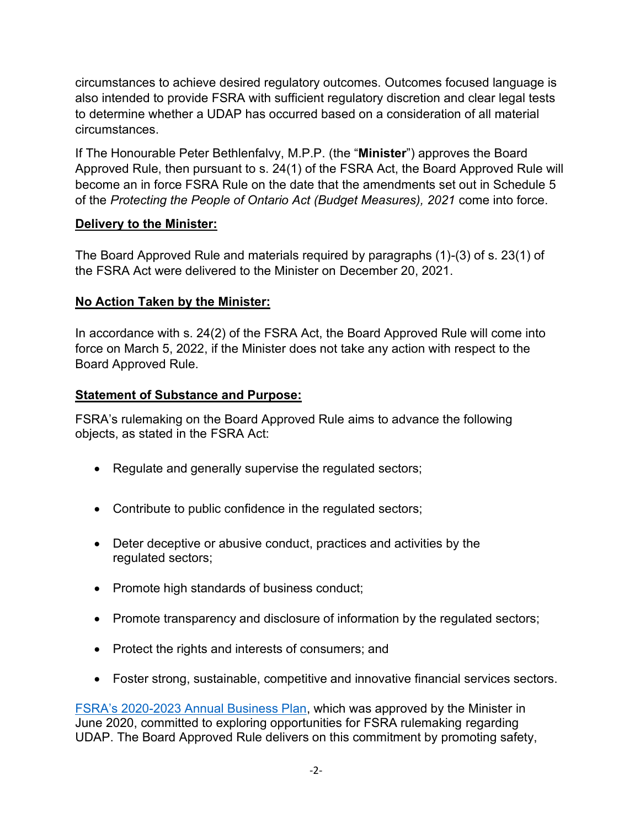circumstances to achieve desired regulatory outcomes. Outcomes focused language is also intended to provide FSRA with sufficient regulatory discretion and clear legal tests to determine whether a UDAP has occurred based on a consideration of all material circumstances.

If The Honourable Peter Bethlenfalvy, M.P.P. (the "**Minister**") approves the Board Approved Rule, then pursuant to s. 24(1) of the FSRA Act, the Board Approved Rule will become an in force FSRA Rule on the date that the amendments set out in Schedule 5 of the *Protecting the People of Ontario Act (Budget Measures), 2021* come into force.

### **Delivery to the Minister:**

The Board Approved Rule and materials required by paragraphs (1)-(3) of s. 23(1) of the FSRA Act were delivered to the Minister on December 20, 2021.

## **No Action Taken by the Minister:**

In accordance with s. 24(2) of the FSRA Act, the Board Approved Rule will come into force on March 5, 2022, if the Minister does not take any action with respect to the Board Approved Rule.

## **Statement of Substance and Purpose:**

FSRA's rulemaking on the Board Approved Rule aims to advance the following objects, as stated in the FSRA Act:

- Regulate and generally supervise the regulated sectors;
- Contribute to public confidence in the regulated sectors;
- Deter deceptive or abusive conduct, practices and activities by the regulated sectors;
- Promote high standards of business conduct;
- Promote transparency and disclosure of information by the regulated sectors;
- Protect the rights and interests of consumers; and
- Foster strong, sustainable, competitive and innovative financial services sectors.

[FSRA's 2020-2023 Annual Business Plan](https://www.fsrao.ca/media/2006/download), which was approved by the Minister in June 2020, committed to exploring opportunities for FSRA rulemaking regarding UDAP. The Board Approved Rule delivers on this commitment by promoting safety,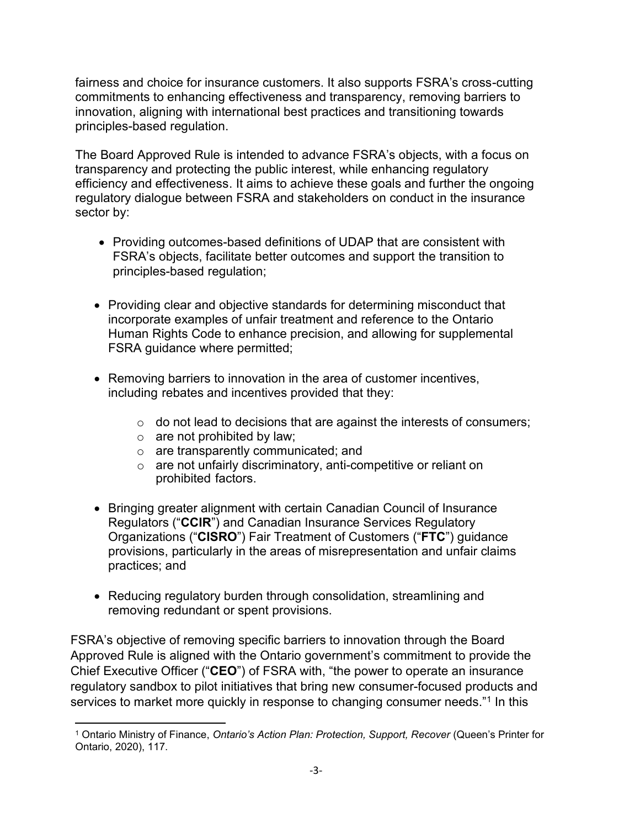fairness and choice for insurance customers. It also supports FSRA's cross-cutting commitments to enhancing effectiveness and transparency, removing barriers to innovation, aligning with international best practices and transitioning towards principles-based regulation.

The Board Approved Rule is intended to advance FSRA's objects, with a focus on transparency and protecting the public interest, while enhancing regulatory efficiency and effectiveness. It aims to achieve these goals and further the ongoing regulatory dialogue between FSRA and stakeholders on conduct in the insurance sector by:

- Providing outcomes-based definitions of UDAP that are consistent with FSRA's objects, facilitate better outcomes and support the transition to principles-based regulation;
- Providing clear and objective standards for determining misconduct that incorporate examples of unfair treatment and reference to the Ontario Human Rights Code to enhance precision, and allowing for supplemental FSRA guidance where permitted;
- Removing barriers to innovation in the area of customer incentives, including rebates and incentives provided that they:
	- $\circ$  do not lead to decisions that are against the interests of consumers;
	- $\circ$  are not prohibited by law;
	- o are transparently communicated; and
	- o are not unfairly discriminatory, anti-competitive or reliant on prohibited factors.
- Bringing greater alignment with certain Canadian Council of Insurance Regulators ("**CCIR**") and Canadian Insurance Services Regulatory Organizations ("**CISRO**") Fair Treatment of Customers ("**FTC**") guidance provisions, particularly in the areas of misrepresentation and unfair claims practices; and
- <span id="page-2-1"></span>• Reducing regulatory burden through consolidation, streamlining and removing redundant or spent provisions.

FSRA's objective of removing specific barriers to innovation through the Board Approved Rule is aligned with the Ontario government's commitment to provide the Chief Executive Officer ("**CEO**") of FSRA with, "the power to operate an insurance regulatory sandbox to pilot initiatives that bring new consumer-focused products and services to market more quickly in response to changing consumer needs."<sup>[1](#page-2-0)</sup> In this

<span id="page-2-0"></span>[<sup>1</sup>](#page-2-1) Ontario Ministry of Finance, *Ontario's Action Plan: Protection, Support, Recover* (Queen's Printer for Ontario, 2020), 117.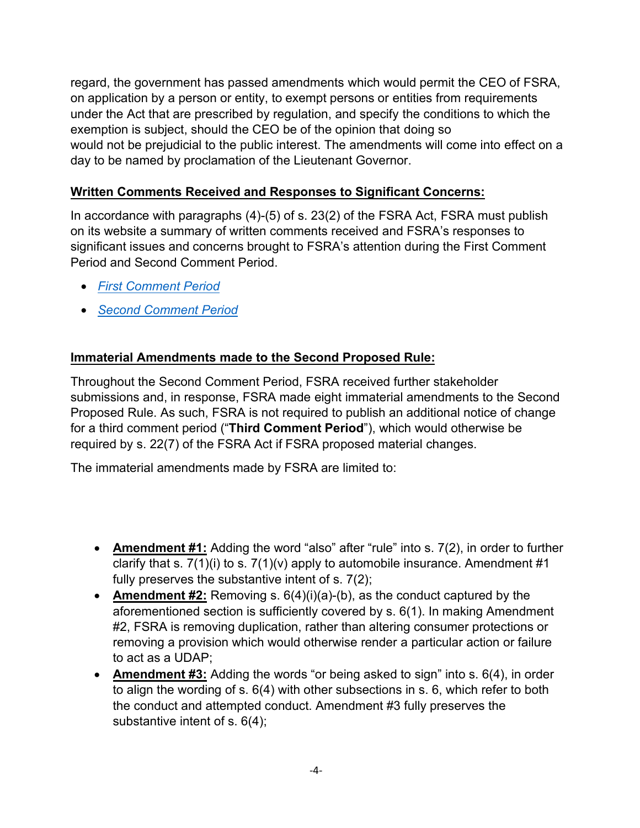regard, the government has passed amendments which would permit the CEO of FSRA, on application by a person or entity, to exempt persons or entities from requirements under the Act that are prescribed by regulation, and specify the conditions to which the exemption is subject, should the CEO be of the opinion that doing so would not be prejudicial to the public interest. The amendments will come into effect on a day to be named by proclamation of the Lieutenant Governor.

## **Written Comments Received and Responses to Significant Concerns:**

In accordance with paragraphs (4)-(5) of s. 23(2) of the FSRA Act, FSRA must publish on its website a summary of written comments received and FSRA's responses to significant issues and concerns brought to FSRA's attention during the First Comment Period and Second Comment Period.

- *[First Comment Period](https://www.fsrao.ca/engagement-and-consultations/fsras-first-proposed-insurance-rule-released-public-consultation-unfair-or-deceptive-acts-or-practices-udap-rule/summary-comments)*
- *[Second Comment Period](https://www.fsrao.ca/engagement-and-consultations/fsra-releases-its-revised-proposed-unfair-or-deceptive-acts-or-practices-udap-rule-public-consultation)*

# **Immaterial Amendments made to the Second Proposed Rule:**

Throughout the Second Comment Period, FSRA received further stakeholder submissions and, in response, FSRA made eight immaterial amendments to the Second Proposed Rule. As such, FSRA is not required to publish an additional notice of change for a third comment period ("**Third Comment Period**"), which would otherwise be required by s. 22(7) of the FSRA Act if FSRA proposed material changes.

The immaterial amendments made by FSRA are limited to:

- **Amendment #1:** Adding the word "also" after "rule" into s. 7(2), in order to further clarify that s.  $7(1)(i)$  to s.  $7(1)(v)$  apply to automobile insurance. Amendment #1 fully preserves the substantive intent of s. 7(2);
- **Amendment #2:** Removing s. 6(4)(i)(a)-(b), as the conduct captured by the aforementioned section is sufficiently covered by s. 6(1). In making Amendment #2, FSRA is removing duplication, rather than altering consumer protections or removing a provision which would otherwise render a particular action or failure to act as a UDAP;
- **Amendment #3:** Adding the words "or being asked to sign" into s. 6(4), in order to align the wording of s. 6(4) with other subsections in s. 6, which refer to both the conduct and attempted conduct. Amendment #3 fully preserves the substantive intent of s. 6(4);